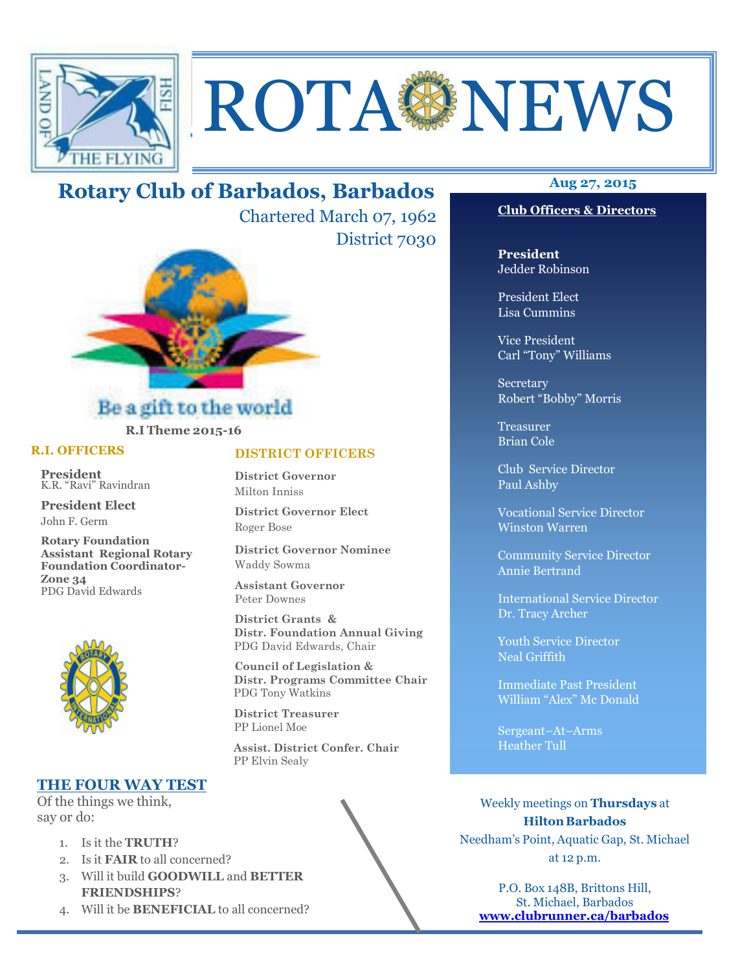

# ROTA NEWS

# Rotary Club of Barbados, Barbados

Chartered March 07, 1962 District 7030



# R.I Theme 2015-16

# R.I. OFFICERS

President K.R. "Ravi" Ravindran

President Elect John F. Germ

Rotary Foundation Assistant Regional Rotary Foundation Coordinator-Zone 34 PDG David Edwards



# THE FOUR WAY TEST

Of the things we think, say or do:

- 1. Is it the TRUTH?
- 2. Is it FAIR to all concerned?
- 3. Will it build GOODWILL and BETTER FRIENDSHIPS?
- 4. Will it be BENEFICIAL to all concerned?

# DISTRICT OFFICERS

District Governor Milton Inniss

District Governor Elect Roger Bose

District Governor Nominee Waddy Sowma

Assistant Governor Peter Downes

 District Grants & Distr. Foundation Annual Giving PDG David Edwards, Chair

 Council of Legislation & Distr. Programs Committee Chair PDG Tony Watkins

 District Treasurer PP Lionel Moe

 Assist. District Confer. Chair PP Elvin Sealy



# Club Officers & Directors

President Jedder Robinson

President Elect Lisa Cummins

Vice President Carl "Tony" Williams

Secretary Robert "Bobby" Morris

Treasurer Brian Cole

Club Service Director Paul Ashby

Vocational Service Director Winston Warren

Community Service Director Annie Bertrand

International Service Director Dr. Tracy Archer

Youth Service Director Neal Griffith

Immediate Past President William "Alex" Mc Donald

Sergeant–At–Arms Heather Tull

Weekly meetings on Thursdays at Hilton Barbados Needham's Point, Aquatic Gap, St. Michael at 12 p.m.

P.O. Box 148B, Brittons Hill, St. Michael, Barbados www.clubrunner.ca/barbados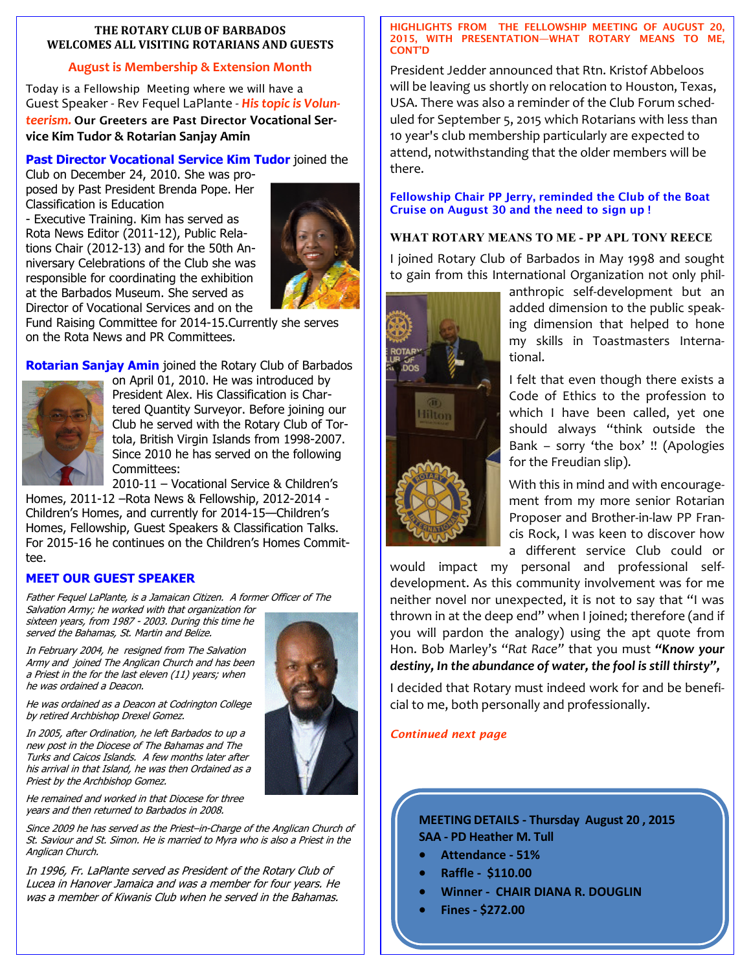# THE ROTARY CLUB OF BARBADOS WELCOMES ALL VISITING ROTARIANS AND GUESTS

# August is Membership & Extension Month

Today is a Fellowship Meeting where we will have a Guest Speaker - Rev Fequel LaPlante - His topic is Volunteerism. Our Greeters are Past Director Vocational Service Kim Tudor & Rotarian Sanjay Amin

# Past Director Vocational Service Kim Tudor joined the

Club on December 24, 2010. She was proposed by Past President Brenda Pope. Her Classification is Education

- Executive Training. Kim has served as Rota News Editor (2011-12), Public Relations Chair (2012-13) and for the 50th Anniversary Celebrations of the Club she was responsible for coordinating the exhibition at the Barbados Museum. She served as Director of Vocational Services and on the



Fund Raising Committee for 2014-15.Currently she serves on the Rota News and PR Committees.

Rotarian Sanjay Amin joined the Rotary Club of Barbados



on April 01, 2010. He was introduced by President Alex. His Classification is Chartered Quantity Surveyor. Before joining our Club he served with the Rotary Club of Tortola, British Virgin Islands from 1998-2007. Since 2010 he has served on the following Committees:

2010-11 – Vocational Service & Children's

Homes, 2011-12 –Rota News & Fellowship, 2012-2014 - Children's Homes, and currently for 2014-15—Children's Homes, Fellowship, Guest Speakers & Classification Talks. For 2015-16 he continues on the Children's Homes Committee.

# MEET OUR GUEST SPEAKER

Father Fequel LaPlante, is a Jamaican Citizen. A former Officer of The Salvation Army; he worked with that organization for

sixteen years, from 1987 - 2003. During this time he served the Bahamas, St. Martin and Belize.

In February 2004, he resigned from The Salvation Army and joined The Anglican Church and has been a Priest in the for the last eleven (11) years; when he was ordained a Deacon.

He was ordained as a Deacon at Codrington College by retired Archbishop Drexel Gomez.

In 2005, after Ordination, he left Barbados to up a new post in the Diocese of The Bahamas and The Turks and Caicos Islands. A few months later after his arrival in that Island, he was then Ordained as a Priest by the Archbishop Gomez.

He remained and worked in that Diocese for three years and then returned to Barbados in 2008.

Since 2009 he has served as the Priest–in-Charge of the Anglican Church of St. Saviour and St. Simon. He is married to Myra who is also a Priest in the Anglican Church.

In 1996, Fr. LaPlante served as President of the Rotary Club of Lucea in Hanover Jamaica and was a member for four years. He was a member of Kiwanis Club when he served in the Bahamas.

### HIGHLIGHTS FROM THE FELLOWSHIP MEETING OF AUGUST 20, 2015, WITH PRESENTATION—WHAT ROTARY MEANS TO ME, CONT'D

President Jedder announced that Rtn. Kristof Abbeloos will be leaving us shortly on relocation to Houston, Texas, USA. There was also a reminder of the Club Forum scheduled for September 5, 2015 which Rotarians with less than 10 year's club membership particularly are expected to attend, notwithstanding that the older members will be there.

# Fellowship Chair PP Jerry, reminded the Club of the Boat Cruise on August 30 and the need to sign up !

# WHAT ROTARY MEANS TO ME - PP APL TONY REECE

I joined Rotary Club of Barbados in May 1998 and sought to gain from this International Organization not only phil-



anthropic self-development but an added dimension to the public speaking dimension that helped to hone my skills in Toastmasters International.

I felt that even though there exists a Code of Ethics to the profession to which I have been called, yet one should always "think outside the Bank – sorry 'the box' !! (Apologies for the Freudian slip).

With this in mind and with encouragement from my more senior Rotarian Proposer and Brother-in-law PP Francis Rock, I was keen to discover how a different service Club could or

would impact my personal and professional selfdevelopment. As this community involvement was for me neither novel nor unexpected, it is not to say that "I was thrown in at the deep end" when I joined; therefore (and if you will pardon the analogy) using the apt quote from Hon. Bob Marley's "Rat Race" that you must "Know your destiny, In the abundance of water, the fool is still thirsty",

I decided that Rotary must indeed work for and be beneficial to me, both personally and professionally.

Continued next page

MEETING DETAILS - Thursday August 20 , 2015 SAA - PD Heather M. Tull

- Attendance 51%
- Raffle \$110.00
- Winner CHAIR DIANA R. DOUGLIN
- Fines \$272.00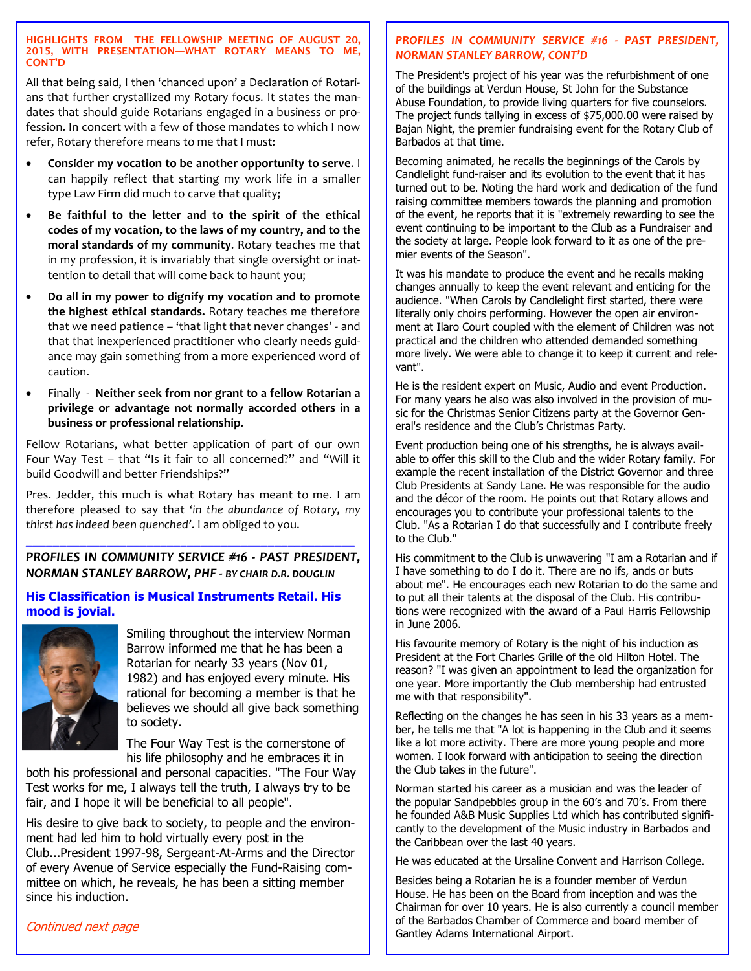### HIGHLIGHTS FROM THE FELLOWSHIP MEETING OF AUGUST 20, 2015, WITH PRESENTATION—WHAT ROTARY MEANS TO ME, CONT'D

All that being said, I then 'chanced upon' a Declaration of Rotarians that further crystallized my Rotary focus. It states the mandates that should guide Rotarians engaged in a business or profession. In concert with a few of those mandates to which I now refer, Rotary therefore means to me that I must:

- Consider my vocation to be another opportunity to serve. I can happily reflect that starting my work life in a smaller type Law Firm did much to carve that quality;
- Be faithful to the letter and to the spirit of the ethical codes of my vocation, to the laws of my country, and to the moral standards of my community. Rotary teaches me that in my profession, it is invariably that single oversight or inattention to detail that will come back to haunt you;
- Do all in my power to dignify my vocation and to promote the highest ethical standards. Rotary teaches me therefore that we need patience – 'that light that never changes' - and that that inexperienced practitioner who clearly needs guidance may gain something from a more experienced word of caution.
- Finally Neither seek from nor grant to a fellow Rotarian a privilege or advantage not normally accorded others in a business or professional relationship.

Fellow Rotarians, what better application of part of our own Four Way Test – that "Is it fair to all concerned?" and "Will it build Goodwill and better Friendships?"

Pres. Jedder, this much is what Rotary has meant to me. I am therefore pleased to say that 'in the abundance of Rotary, my thirst has indeed been quenched'. I am obliged to you.

# \_\_\_\_\_\_\_\_\_\_\_\_\_\_\_\_\_\_\_\_\_\_\_\_\_\_\_\_\_\_\_\_\_\_\_\_\_\_\_\_\_\_\_\_\_\_\_\_\_ PROFILES IN COMMUNITY SERVICE #16 - PAST PRESIDENT, NORMAN STANLEY BARROW, PHF - BY CHAIR D.R. DOUGLIN

# His Classification is Musical Instruments Retail. His mood is jovial.



Smiling throughout the interview Norman Barrow informed me that he has been a Rotarian for nearly 33 years (Nov 01, 1982) and has enjoyed every minute. His rational for becoming a member is that he believes we should all give back something to society.

The Four Way Test is the cornerstone of his life philosophy and he embraces it in

both his professional and personal capacities. "The Four Way Test works for me, I always tell the truth, I always try to be fair, and I hope it will be beneficial to all people".

His desire to give back to society, to people and the environment had led him to hold virtually every post in the Club...President 1997-98, Sergeant-At-Arms and the Director of every Avenue of Service especially the Fund-Raising committee on which, he reveals, he has been a sitting member since his induction.

# PROFILES IN COMMUNITY SERVICE #16 - PAST PRESIDENT, NORMAN STANLEY BARROW, CONT'D

The President's project of his year was the refurbishment of one of the buildings at Verdun House, St John for the Substance Abuse Foundation, to provide living quarters for five counselors. The project funds tallying in excess of \$75,000.00 were raised by Bajan Night, the premier fundraising event for the Rotary Club of Barbados at that time.

Becoming animated, he recalls the beginnings of the Carols by Candlelight fund-raiser and its evolution to the event that it has turned out to be. Noting the hard work and dedication of the fund raising committee members towards the planning and promotion of the event, he reports that it is "extremely rewarding to see the event continuing to be important to the Club as a Fundraiser and the society at large. People look forward to it as one of the premier events of the Season".

It was his mandate to produce the event and he recalls making changes annually to keep the event relevant and enticing for the audience. "When Carols by Candlelight first started, there were literally only choirs performing. However the open air environment at Ilaro Court coupled with the element of Children was not practical and the children who attended demanded something more lively. We were able to change it to keep it current and relevant".

He is the resident expert on Music, Audio and event Production. For many years he also was also involved in the provision of music for the Christmas Senior Citizens party at the Governor General's residence and the Club's Christmas Party.

Event production being one of his strengths, he is always available to offer this skill to the Club and the wider Rotary family. For example the recent installation of the District Governor and three Club Presidents at Sandy Lane. He was responsible for the audio and the décor of the room. He points out that Rotary allows and encourages you to contribute your professional talents to the Club. "As a Rotarian I do that successfully and I contribute freely to the Club."

His commitment to the Club is unwavering "I am a Rotarian and if I have something to do I do it. There are no ifs, ands or buts about me". He encourages each new Rotarian to do the same and to put all their talents at the disposal of the Club. His contributions were recognized with the award of a Paul Harris Fellowship in June 2006.

His favourite memory of Rotary is the night of his induction as President at the Fort Charles Grille of the old Hilton Hotel. The reason? "I was given an appointment to lead the organization for one year. More importantly the Club membership had entrusted me with that responsibility".

Reflecting on the changes he has seen in his 33 years as a member, he tells me that "A lot is happening in the Club and it seems like a lot more activity. There are more young people and more women. I look forward with anticipation to seeing the direction the Club takes in the future".

Norman started his career as a musician and was the leader of the popular Sandpebbles group in the 60's and 70's. From there he founded A&B Music Supplies Ltd which has contributed significantly to the development of the Music industry in Barbados and the Caribbean over the last 40 years.

He was educated at the Ursaline Convent and Harrison College.

Besides being a Rotarian he is a founder member of Verdun House. He has been on the Board from inception and was the Chairman for over 10 years. He is also currently a council member of the Barbados Chamber of Commerce and board member of Gantley Adams International Airport.

# Continued next page